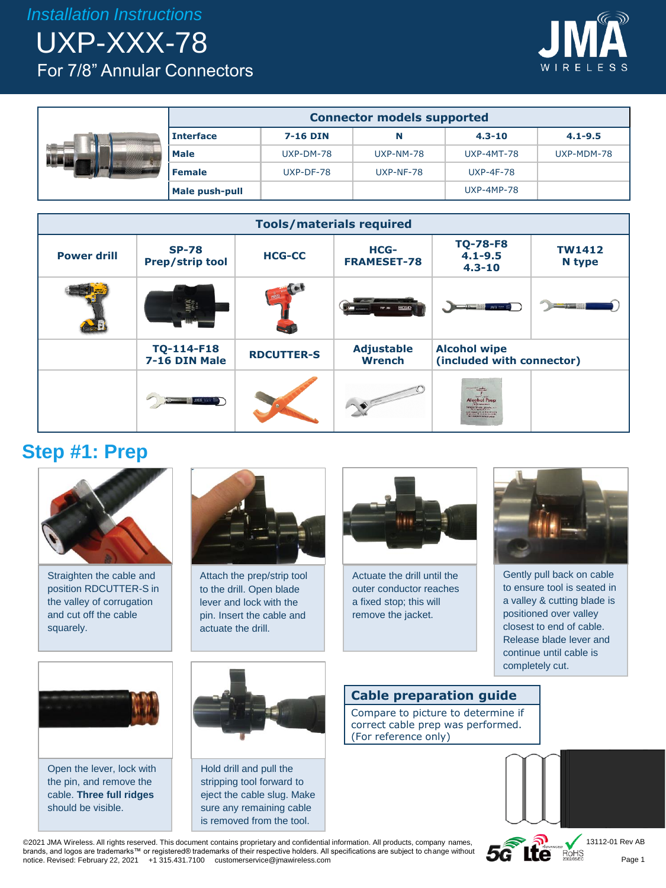*Installation Instructions*

UXP-XXX-78 For 7/8" Annular Connectors



|  | <b>Connector models supported</b> |           |             |                   |             |
|--|-----------------------------------|-----------|-------------|-------------------|-------------|
|  | <b>Interface</b>                  | 7-16 DIN  | N           | $4.3 - 10$        | $4.1 - 9.5$ |
|  | <b>Male</b>                       | UXP-DM-78 | UXP-NM-78   | <b>UXP-4MT-78</b> | UXP-MDM-78  |
|  | <b>Female</b>                     | UXP-DF-78 | $UXP-NF-78$ | <b>UXP-4F-78</b>  |             |
|  | Male push-pull                    |           |             | <b>UXP-4MP-78</b> |             |



#### **Step #1: Prep**



Straighten the cable and position RDCUTTER-S in the valley of corrugation and cut off the cable squarely.



Attach the prep/strip tool to the drill. Open blade lever and lock with the pin. Insert the cable and actuate the drill.



Actuate the drill until the outer conductor reaches a fixed stop; this will remove the jacket.



Gently pull back on cable to ensure tool is seated in a valley & cutting blade is positioned over valley closest to end of cable. Release blade lever and continue until cable is completely cut.



Open the lever, lock with the pin, and remove the cable. **Three full ridges**  should be visible.



Hold drill and pull the stripping tool forward to eject the cable slug. Make sure any remaining cable is removed from the tool.

#### **Cable preparation guide**

Compare to picture to determine if correct cable prep was performed. (For reference only)